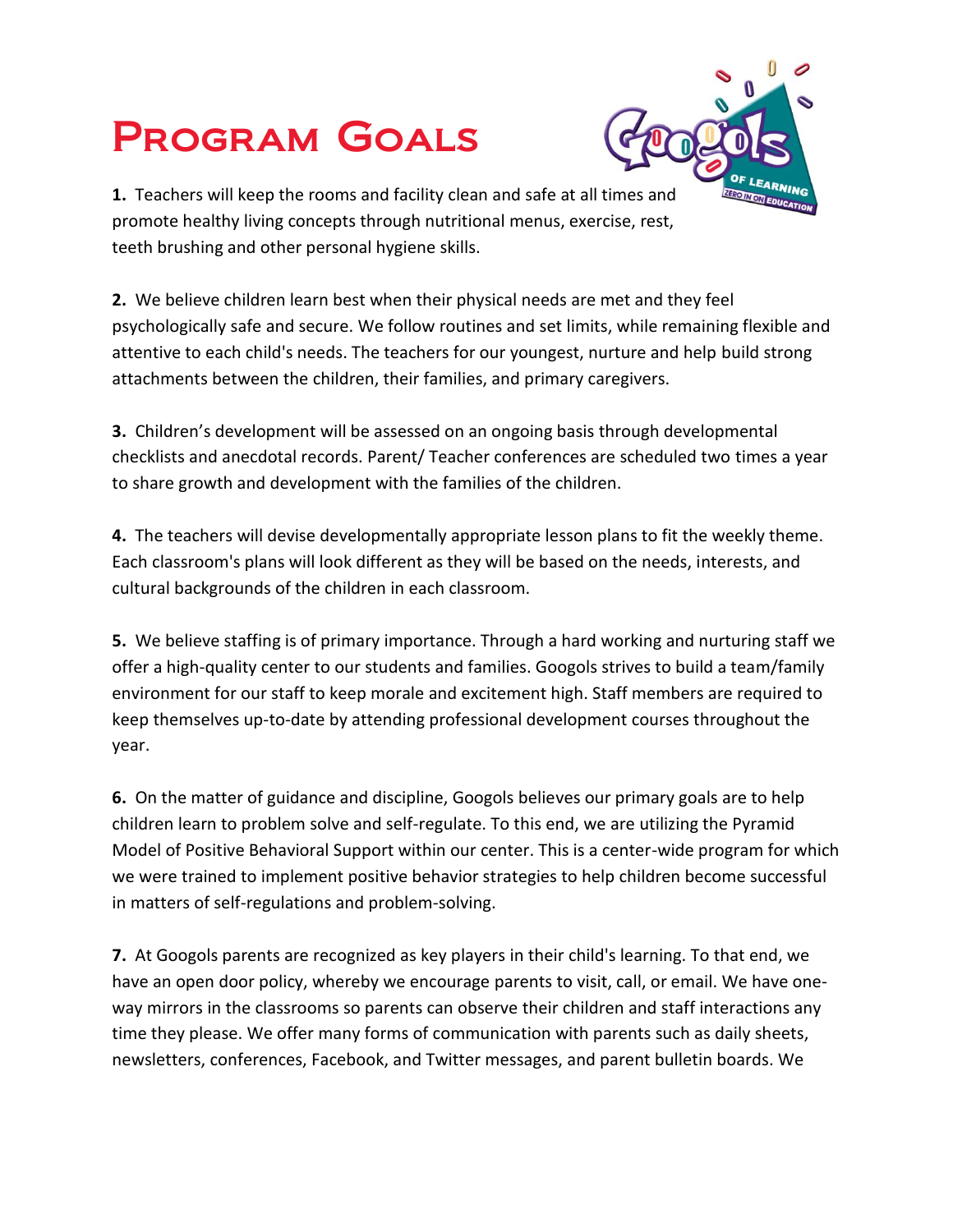## Program Goals



**1.** Teachers will keep the rooms and facility clean and safe at all times and promote healthy living concepts through nutritional menus, exercise, rest, teeth brushing and other personal hygiene skills.

**2.** We believe children learn best when their physical needs are met and they feel psychologically safe and secure. We follow routines and set limits, while remaining flexible and attentive to each child's needs. The teachers for our youngest, nurture and help build strong attachments between the children, their families, and primary caregivers.

**3.** Children's development will be assessed on an ongoing basis through developmental checklists and anecdotal records. Parent/ Teacher conferences are scheduled two times a year to share growth and development with the families of the children.

**4.** The teachers will devise developmentally appropriate lesson plans to fit the weekly theme. Each classroom's plans will look different as they will be based on the needs, interests, and cultural backgrounds of the children in each classroom.

**5.** We believe staffing is of primary importance. Through a hard working and nurturing staff we offer a high-quality center to our students and families. Googols strives to build a team/family environment for our staff to keep morale and excitement high. Staff members are required to keep themselves up-to-date by attending professional development courses throughout the year.

**6.** On the matter of guidance and discipline, Googols believes our primary goals are to help children learn to problem solve and self-regulate. To this end, we are utilizing the Pyramid Model of Positive Behavioral Support within our center. This is a center-wide program for which we were trained to implement positive behavior strategies to help children become successful in matters of self-regulations and problem-solving.

**7.** At Googols parents are recognized as key players in their child's learning. To that end, we have an open door policy, whereby we encourage parents to visit, call, or email. We have oneway mirrors in the classrooms so parents can observe their children and staff interactions any time they please. We offer many forms of communication with parents such as daily sheets, newsletters, conferences, Facebook, and Twitter messages, and parent bulletin boards. We